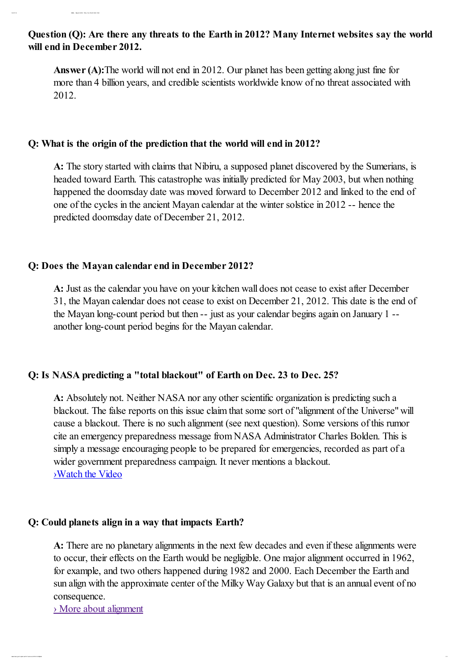Question (Q): Are there any threats to the Earth in 2012? Many Internet websites say the world will end in December 2012.

Answer (A): The world will not end in 2012. Our planet has been getting along just fine for more than 4 billion years, and credible scientists worldwide know of no threat associated with 2012.

### Q: What is the origin of the prediction that the world will end in 2012?

A: The story started with claims that Nibiru, a supposed planet discovered by the Sumerians, is headed toward Earth. This catastrophe was initially predicted for May 2003, but when nothing happened the doomsday date was moved forward to December 2012 and linked to the end of one of the cycles in the ancient Mayan calendar at the winter solstice in 2012 -- hence the predicted doomsday date of December 21, 2012.

## Q: Does the Mayan calendar end in December 2012?

12/ 21/ 22/ 12 NASA - Beyond 2012: Why the World World Blue

A: Just as the calendar you have on your kitchen wall does not cease to exist after December 31, the Mayan calendar does not cease to exist on December 21, 2012. This date is the end of the Mayan long-count period but then -- just as your calendar begins again on January 1 - another long-count period begins for the Mayan calendar.

## Q: Is NASA predicting a "total blackout" of Earth on Dec. 23 to Dec. 25?

A: Absolutely not. Neither NASA nor any other scientific organization is predicting such a blackout. The false reports on this issue claim that some sort of "alignment of the Universe" will cause a blackout. There is no such alignment (see next question). Some versions of this rumor cite an emergency preparedness message from NASA Administrator Charles Bolden. This is simply a message encouraging people to be prepared for emergencies, recorded as part of a wider government preparedness campaign. It never mentions a blackout. [›Watch](http://www.nasa.gov/multimedia/videogallery/index.html?media_id=18319280) the Video

## Q: Could planets align in a way that impacts Earth?

A: There are no planetary alignments in the next few decades and even if these alignments were to occur, their effects on the Earth would be negligible. One major alignment occurred in 1962, for example, and two others happened during 1982 and 2000. Each December the Earth and sun align with the approximate center of the Milky Way Galaxy but that is an annual event of no consequence.

 $\chi$  is a more narrow of the controller into the controller interaction of the controller 1/ 3  $\mu$ 

› More about [alignment](http://www.nasa.gov/topics/earth/features/2012-alignment.html)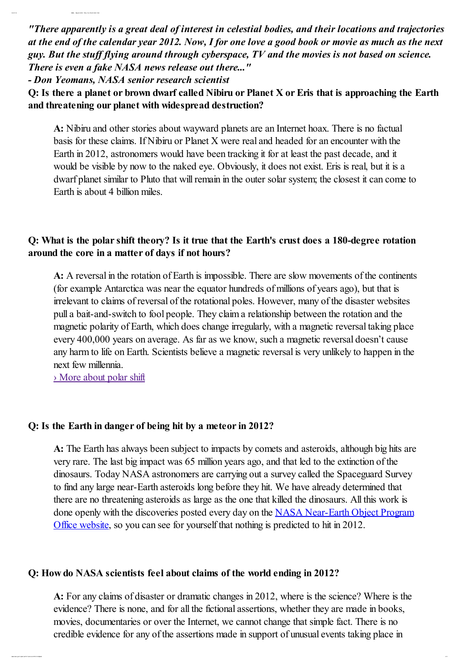*"There apparently is a great deal of interest in celestial bodies, and their locations and trajectories* at the end of the calendar year 2012. Now, I for one love a good book or movie as much as the next *guy. But the stuf flying around through cyberspace, TV and the movies is not based on science. There is even a fake NASA news release out there..."*

*- Don Yeomans, NASA senior research scientist*

12/ 21/ 22/ 12 NASA - Beyond 2012: Why the World World Blue

Q: Is there a planet or brown dwarf called Nibiru or Planet X or Eris that is approaching the Earth and threatening our planet with widespread destruction?

A: Nibiru and other stories about wayward planets are an Internet hoax. There is no factual basis for these claims. If Nibiru or Planet X were real and headed for an encounter with the Earth in 2012, astronomers would have been tracking it for at least the past decade, and it would be visible by now to the naked eye. Obviously, it does not exist. Eris is real, but it is a dwarf planet similar to Pluto that will remain in the outer solar system; the closest it can come to Earth is about 4 billion miles.

# Q: What is the polar shift theory? Is it true that the Earth's crust does a 180-degree rotation around the core in a matter of days if not hours?

A: A reversal in the rotation of Earth is impossible. There are slow movements of the continents (for example Antarctica was near the equator hundreds of millions of years ago), but that is irrelevant to claims of reversal of the rotational poles. However, many of the disaster websites pull a bait-and-switch to fool people. They claim a relationship between the rotation and the magnetic polarity of Earth, which does change irregularly, with a magnetic reversal taking place every 400,000 years on average. As far as we know, such a magnetic reversal doesn't cause any harm to life on Earth. Scientists believe a magnetic reversal is very unlikely to happen in the next few millennia.

› More [about](http://www.nasa.gov/topics/earth/features/2012-poleReversal.html) polar shift

#### Q: Is the Earth in danger of being hit by a meteor in 2012?

A: The Earth has always been subject to impacts by comets and asteroids, although big hits are very rare. The last big impact was 65 million years ago, and that led to the extinction of the dinosaurs. Today NASA astronomers are carrying out a survey called the Spaceguard Survey to find any large near-Earth asteroids long before they hit. We have already determined that there are no threatening asteroids as large as the one that killed the dinosaurs. All this work is done openly with the discoveries posted every day on the NASA [Near-Earth](http://neo.jpl.nasa.gov/) Object Program Office website, so you can see for yourself that nothing is predicted to hit in 2012.

#### Q: How do NASA scientists feel about claims of the world ending in 2012?

A: For any claims of disaster or dramatic changes in 2012, where is the science? Where is the evidence? There is none, and for all the fictional assertions, whether they are made in books, movies, documentaries or over the Internet, we cannot change that simple fact. There is no credible evidence for any of the assertions made in support of unusual events taking place in

 $2/3$